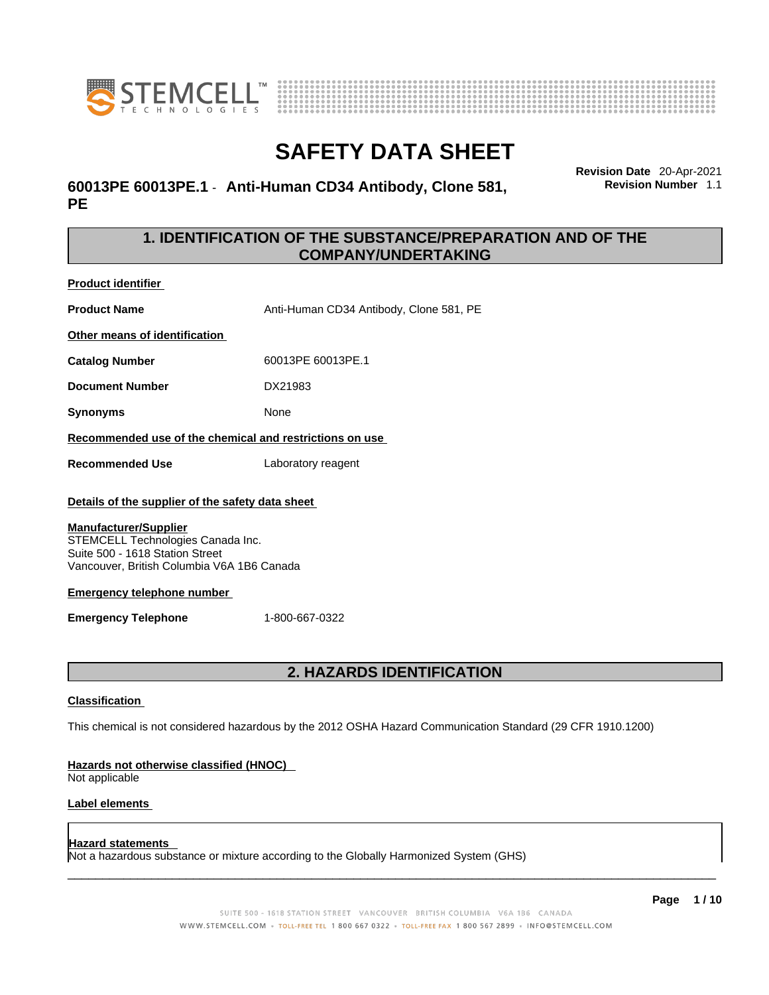



### **60013PE 60013PE.1** - **Anti-Human CD34 Antibody, Clone 581, PE**

**Revision Date** 20-Apr-2021 **Revision Number** 1.1

### **1. IDENTIFICATION OF THE SUBSTANCE/PREPARATION AND OF THE COMPANY/UNDERTAKING**

**Product identifier**

**Product Name** Anti-Human CD34 Antibody, Clone 581, PE

**Other means of identification**

**Catalog Number** 60013PE 60013PE.1

**Document Number** DX21983

**Synonyms** None

**Recommended use of the chemical and restrictions on use**

**Recommended Use** Laboratory reagent

### **Details of the supplier of the safety data sheet**

#### **Manufacturer/Supplier**

STEMCELL Technologies Canada Inc. Suite 500 - 1618 Station Street Vancouver, British Columbia V6A 1B6 Canada

#### **Emergency telephone number**

**Emergency Telephone** 1-800-667-0322

### **2. HAZARDS IDENTIFICATION**

#### **Classification**

This chemical is not considered hazardous by the 2012 OSHA Hazard Communication Standard (29 CFR 1910.1200)

#### **Hazards not otherwise classified (HNOC)**

Not applicable

### **Label elements**

#### **Hazard statements**

Not a hazardous substance or mixture according to the Globally Harmonized System (GHS)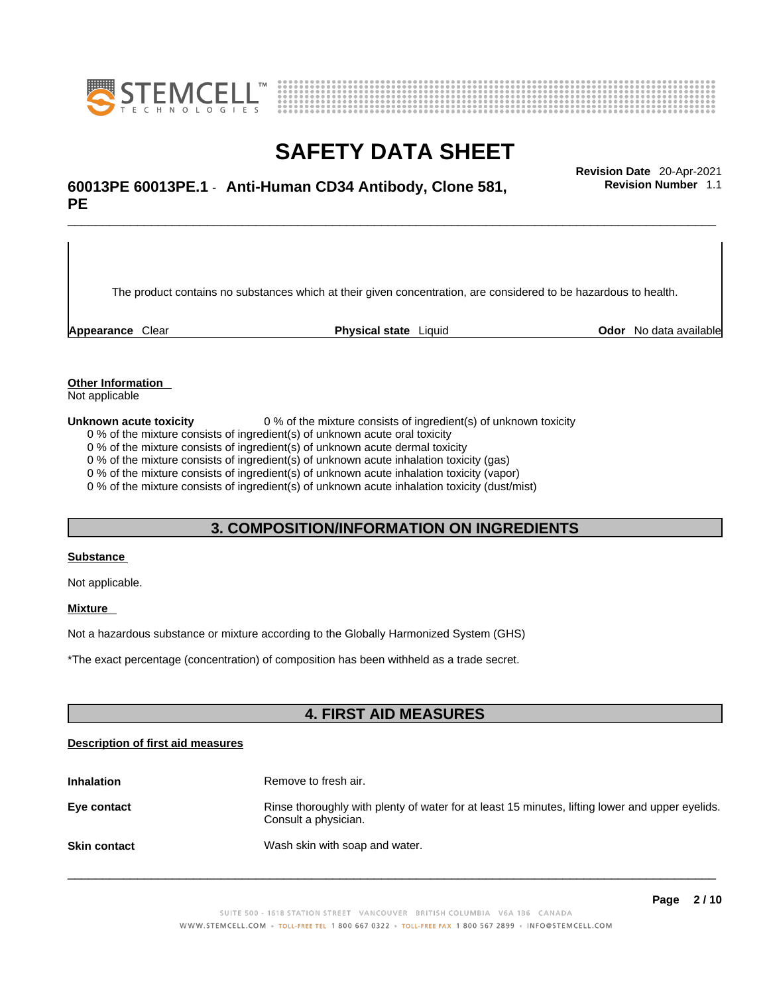



## \_\_\_\_\_\_\_\_\_\_\_\_\_\_\_\_\_\_\_\_\_\_\_\_\_\_\_\_\_\_\_\_\_\_\_\_\_\_\_\_\_\_\_\_\_\_\_\_\_\_\_\_\_\_\_\_\_\_\_\_\_\_\_\_\_\_\_\_\_\_\_\_\_\_\_\_\_\_\_\_\_\_\_\_\_\_\_\_\_\_\_\_\_ **Revision Date** 20-Apr-2021 **60013PE 60013PE.1** - **Anti-Human CD34 Antibody, Clone 581, PE**

The product contains no substances which at their given concentration, are considered to be hazardous to health.

**Appearance** Clear **Physical state** Liquid **Odor** No data available

**Revision Number** 1.1

**Other Information** 

Not applicable

**Unknown acute toxicity** 0 % of the mixture consists of ingredient(s) of unknown toxicity

0 % of the mixture consists of ingredient(s) of unknown acute oral toxicity

0 % of the mixture consists of ingredient(s) of unknown acute dermal toxicity

0 % of the mixture consists of ingredient(s) of unknown acute inhalation toxicity (gas)

0 % of the mixture consists of ingredient(s) of unknown acute inhalation toxicity (vapor)

0 % of the mixture consists of ingredient(s) of unknown acute inhalation toxicity (dust/mist)

### **3. COMPOSITION/INFORMATION ON INGREDIENTS**

#### **Substance**

Not applicable.

### **Mixture**

Not a hazardous substance or mixture according to the Globally Harmonized System (GHS)

\*The exact percentage (concentration) ofcomposition has been withheld as a trade secret.

### **4. FIRST AID MEASURES**

#### **Description of first aid measures**

| <b>Inhalation</b>   | Remove to fresh air.                                                                                                    |
|---------------------|-------------------------------------------------------------------------------------------------------------------------|
| Eye contact         | Rinse thoroughly with plenty of water for at least 15 minutes, lifting lower and upper eyelids.<br>Consult a physician. |
| <b>Skin contact</b> | Wash skin with soap and water.                                                                                          |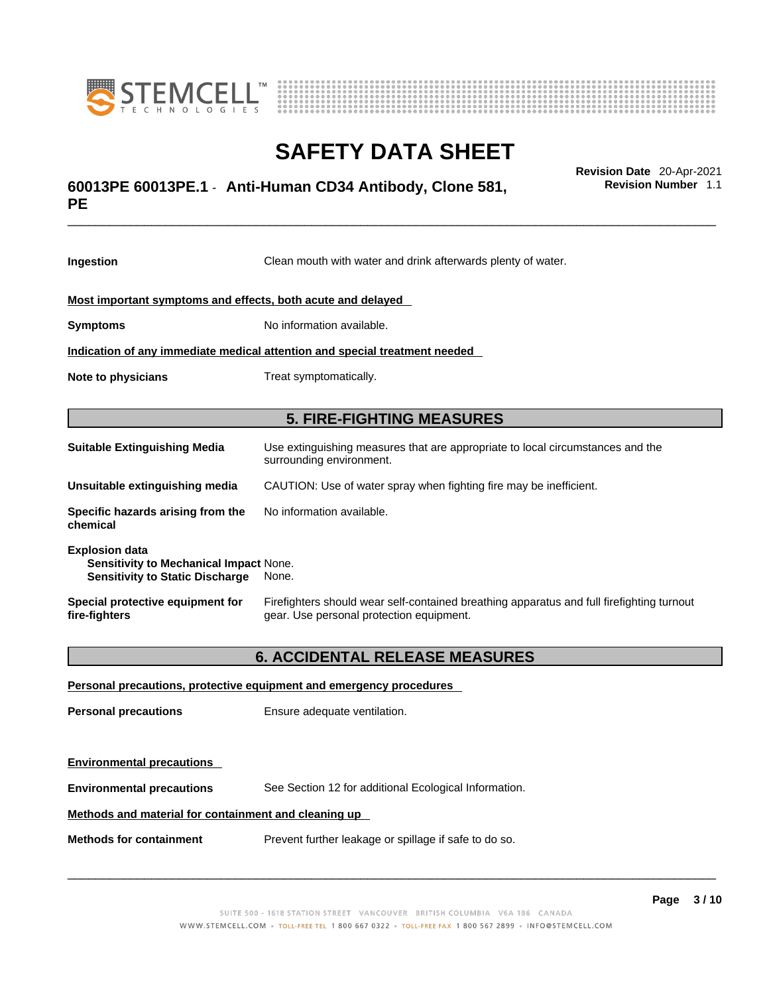



## \_\_\_\_\_\_\_\_\_\_\_\_\_\_\_\_\_\_\_\_\_\_\_\_\_\_\_\_\_\_\_\_\_\_\_\_\_\_\_\_\_\_\_\_\_\_\_\_\_\_\_\_\_\_\_\_\_\_\_\_\_\_\_\_\_\_\_\_\_\_\_\_\_\_\_\_\_\_\_\_\_\_\_\_\_\_\_\_\_\_\_\_\_ **Revision Date** 20-Apr-2021 **60013PE 60013PE.1** - **Anti-Human CD34 Antibody, Clone 581, PE**

**Ingestion** Clean mouth with water and drink afterwards plenty of water. **Most important symptoms and effects, both acute and delayed Symptoms** No information available. **Indication of any immediate medical attention and special treatment needed Note to physicians** Treat symptomatically. **5. FIRE-FIGHTING MEASURES Suitable Extinguishing Media** Use extinguishing measures that are appropriate to local circumstances and the surrounding environment. **Unsuitable extinguishing media** CAUTION: Use of water spray when fighting fire may be inefficient. **Specific hazards arising from the chemical** No information available. **Explosion data Sensitivity to Mechanical Impact** None. **Sensitivity to Static Discharge** None. **Special protective equipment for fire-fighters** Firefighters should wear self-contained breathing apparatus and full firefighting turnout gear. Use personal protection equipment.

### **6. ACCIDENTAL RELEASE MEASURES**

| Personal precautions, protective equipment and emergency procedures |                                                       |  |
|---------------------------------------------------------------------|-------------------------------------------------------|--|
| <b>Personal precautions</b>                                         | Ensure adequate ventilation.                          |  |
|                                                                     |                                                       |  |
| <b>Environmental precautions</b>                                    |                                                       |  |
| <b>Environmental precautions</b>                                    | See Section 12 for additional Ecological Information. |  |
| Methods and material for containment and cleaning up                |                                                       |  |
| <b>Methods for containment</b>                                      | Prevent further leakage or spillage if safe to do so. |  |

 $\_$  ,  $\_$  ,  $\_$  ,  $\_$  ,  $\_$  ,  $\_$  ,  $\_$  ,  $\_$  ,  $\_$  ,  $\_$  ,  $\_$  ,  $\_$  ,  $\_$  ,  $\_$  ,  $\_$  ,  $\_$  ,  $\_$  ,  $\_$  ,  $\_$  ,  $\_$  ,  $\_$  ,  $\_$  ,  $\_$  ,  $\_$  ,  $\_$  ,  $\_$  ,  $\_$  ,  $\_$  ,  $\_$  ,  $\_$  ,  $\_$  ,  $\_$  ,  $\_$  ,  $\_$  ,  $\_$  ,  $\_$  ,  $\_$  ,

**Revision Number** 1.1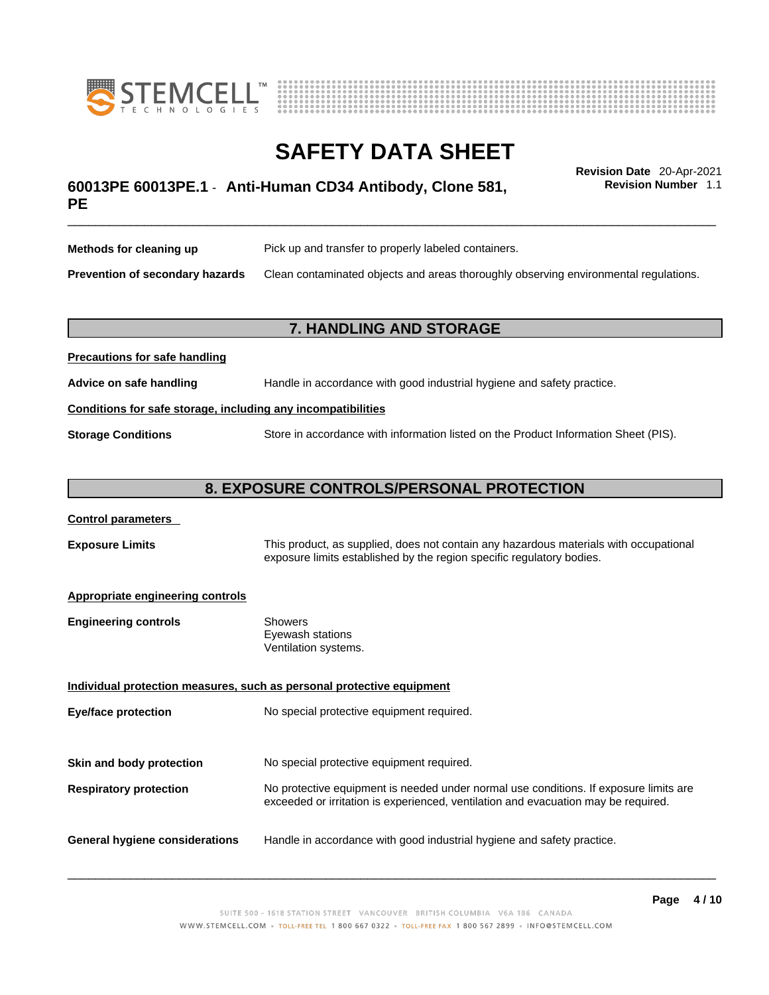



## \_\_\_\_\_\_\_\_\_\_\_\_\_\_\_\_\_\_\_\_\_\_\_\_\_\_\_\_\_\_\_\_\_\_\_\_\_\_\_\_\_\_\_\_\_\_\_\_\_\_\_\_\_\_\_\_\_\_\_\_\_\_\_\_\_\_\_\_\_\_\_\_\_\_\_\_\_\_\_\_\_\_\_\_\_\_\_\_\_\_\_\_\_ **Revision Date** 20-Apr-2021 **60013PE 60013PE.1** - **Anti-Human CD34 Antibody, Clone 581, PE**

**Revision Number** 1.1

| Methods for cleaning up         | Pick up and transfer to properly labeled containers.                                 |
|---------------------------------|--------------------------------------------------------------------------------------|
| Prevention of secondary hazards | Clean contaminated objects and areas thoroughly observing environmental regulations. |

### **7. HANDLING AND STORAGE**

| <b>FIGURIOUS TOP SAFE HARRISTS</b>                           |                                                                                     |  |
|--------------------------------------------------------------|-------------------------------------------------------------------------------------|--|
| Advice on safe handling                                      | Handle in accordance with good industrial hygiene and safety practice.              |  |
| Conditions for safe storage, including any incompatibilities |                                                                                     |  |
| <b>Storage Conditions</b>                                    | Store in accordance with information listed on the Product Information Sheet (PIS). |  |

### **8. EXPOSURE CONTROLS/PERSONAL PROTECTION**

#### **Control parameters**

**Exposure Limits** This product, as supplied, does not contain any hazardous materials with occupational exposure limits established by the region specific regulatory bodies.

#### **Appropriate engineering controls**

**Precautions for safe handling**

| Showers              |  |
|----------------------|--|
| Eyewash stations     |  |
| Ventilation systems. |  |
|                      |  |

**Individual protection measures, such as personal protective equipment Eye/face protection** No special protective equipment required. **Skin and body protection** No special protective equipment required. **Respiratory protection** No protective equipment is needed under normal use conditions. If exposure limits are exceeded or irritation is experienced, ventilation and evacuation may be required. **General hygiene considerations** Handle in accordance with good industrial hygiene and safety practice.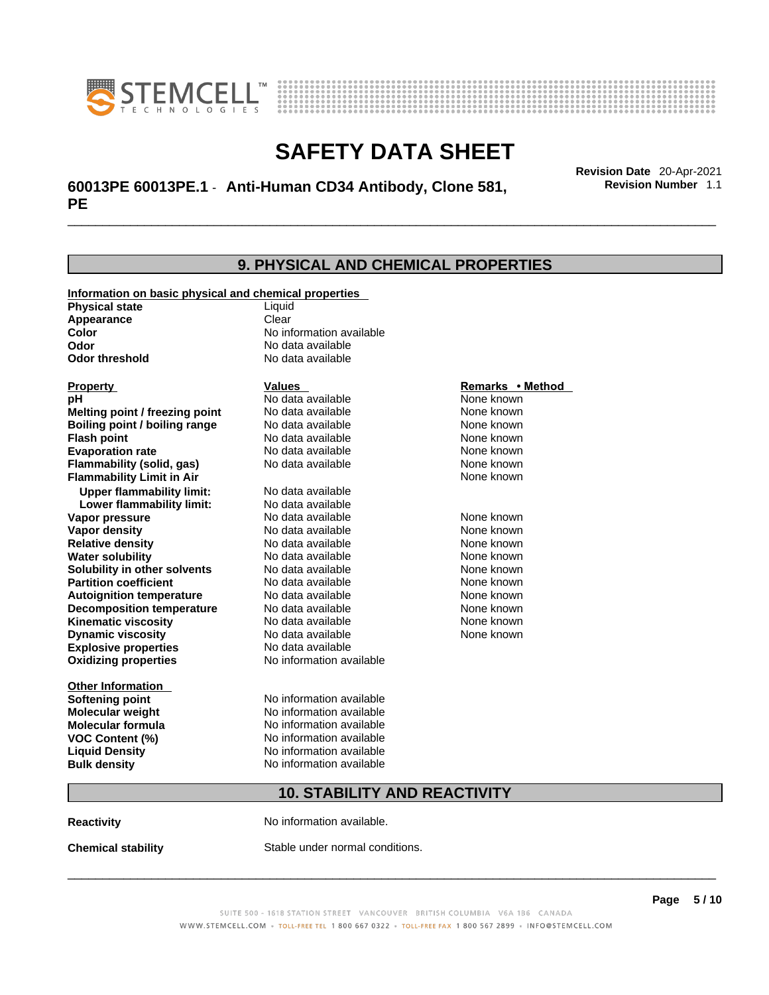



## \_\_\_\_\_\_\_\_\_\_\_\_\_\_\_\_\_\_\_\_\_\_\_\_\_\_\_\_\_\_\_\_\_\_\_\_\_\_\_\_\_\_\_\_\_\_\_\_\_\_\_\_\_\_\_\_\_\_\_\_\_\_\_\_\_\_\_\_\_\_\_\_\_\_\_\_\_\_\_\_\_\_\_\_\_\_\_\_\_\_\_\_\_ **Revision Date** 20-Apr-2021 **60013PE 60013PE.1** - **Anti-Human CD34 Antibody, Clone 581, PE**

**Revision Number** 1.1

### **9. PHYSICAL AND CHEMICAL PROPERTIES Information on basic physical and chemical properties Physical state** Liquid **Appearance** Clear<br> **Color** No int **Color Color Color Color Color Color Color No** data available **Odor Odor No data available**<br> **Odor threshold No data available No data available Explosive properties** No data available **Oxidizing properties** No information available **Other Information Softening point** No information available **Molecular weight** No information available **Molecular formula** No information available<br>**VOC Content (%)** No information available **VOC** Content (%) **Liquid Density** No information available **Bulk density No information available 10. STABILITY AND REACTIVITY Reactivity No information available. Chemical stability** Stable under normal conditions. **Property CONSCRUTE IN THE VALUES REMARKS • Method pH** No data available None known **Melting point / freezing point Boiling point / boiling range Modata available None known Flash point Communist Communist Communist Communist Communist Communist Communist Communist Communist Communist Communist Communist Communist Communist Communist Communist Communist Communist Communist Communist Communi Evaporation rate Configure 1 Accord None Configure 1 Accord None known**<br> **Elammability (solid. gas)** No data available **None known** None known **Flammability (solid, gas)** No data available None known **Flammability Limit in Air None known None known Upper flammability limit:** No data available **Lower flammability limit:** No data available **Vapor pressure No data available None known Vapor density Notata available None known Relative density No data available None known Water solubility No data available Mone known**<br> **Solubility in other solvents** No data available None known None known **Solubility in other solvents** No data available **None known**<br> **Partition coefficient** No data available **None known**<br>
None known **Partition coefficient**<br>**Autoignition temperature** No data available **Autoignition temperature No data available None known**<br> **Decomposition temperature** No data available **None known**<br>
None known **Decomposition temperature** No data available None known<br> **Kinematic viscosity** No data available None known **Kinematic viscosity** No data available<br> **Dynamic viscosity** No data available **Dynamic viscosity** None known

SUITE 500 - 1618 STATION STREET VANCOUVER BRITISH COLUMBIA V6A 1B6 CANADA WWW.STEMCELL.COM • TOLL-FREE TEL 1 800 667 0322 • TOLL-FREE FAX 1 800 567 2899 • INFO@STEMCELL.COM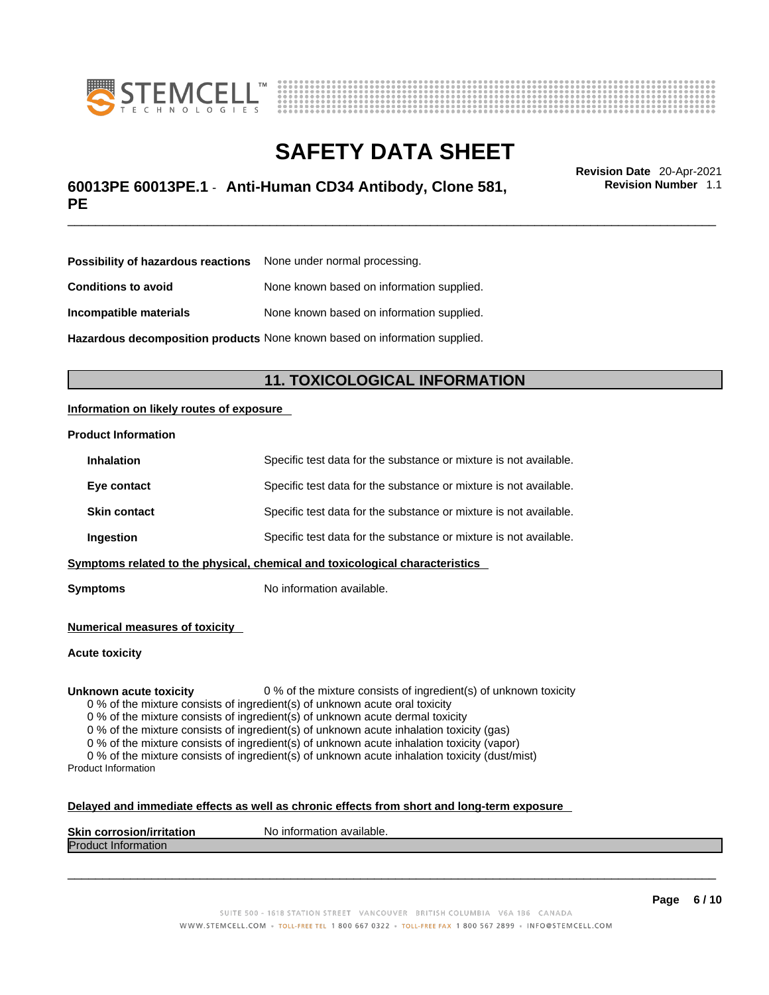



## \_\_\_\_\_\_\_\_\_\_\_\_\_\_\_\_\_\_\_\_\_\_\_\_\_\_\_\_\_\_\_\_\_\_\_\_\_\_\_\_\_\_\_\_\_\_\_\_\_\_\_\_\_\_\_\_\_\_\_\_\_\_\_\_\_\_\_\_\_\_\_\_\_\_\_\_\_\_\_\_\_\_\_\_\_\_\_\_\_\_\_\_\_ **Revision Date** 20-Apr-2021 **60013PE 60013PE.1** - **Anti-Human CD34 Antibody, Clone 581, PE**

**Revision Number** 1.1

| <b>Possibility of hazardous reactions</b> None under normal processing.    |                                           |  |
|----------------------------------------------------------------------------|-------------------------------------------|--|
| <b>Conditions to avoid</b>                                                 | None known based on information supplied. |  |
| Incompatible materials                                                     | None known based on information supplied. |  |
| Hazardous decomposition products None known based on information supplied. |                                           |  |

### **11. TOXICOLOGICAL INFORMATION**

### **Information on likely routes of exposure**

#### **Product Information**

| <b>Inhalation</b>                                                            | Specific test data for the substance or mixture is not available. |  |
|------------------------------------------------------------------------------|-------------------------------------------------------------------|--|
| Eye contact                                                                  | Specific test data for the substance or mixture is not available. |  |
| <b>Skin contact</b>                                                          | Specific test data for the substance or mixture is not available. |  |
| Ingestion                                                                    | Specific test data for the substance or mixture is not available. |  |
| Symptoms related to the physical, chemical and toxicological characteristics |                                                                   |  |

**Symptoms** No information available.

**Numerical measures of toxicity**

**Acute toxicity**

**Unknown acute toxicity** 0 % of the mixture consists of ingredient(s) of unknown toxicity

0 % of the mixture consists of ingredient(s) of unknown acute oral toxicity

0 % of the mixture consists of ingredient(s) of unknown acute dermal toxicity

0 % of the mixture consists of ingredient(s) of unknown acute inhalation toxicity (gas)

0 % of the mixture consists of ingredient(s) of unknown acute inhalation toxicity (vapor)

0 % of the mixture consists of ingredient(s) of unknown acute inhalation toxicity (dust/mist) Product Information

#### **Delayed and immediate effects as well as chronic effects from short and long-term exposure**

| <b>Skin corrosion/irritation</b> | p information available.<br>N0. |
|----------------------------------|---------------------------------|
| <b>Produ</b><br>∷information     |                                 |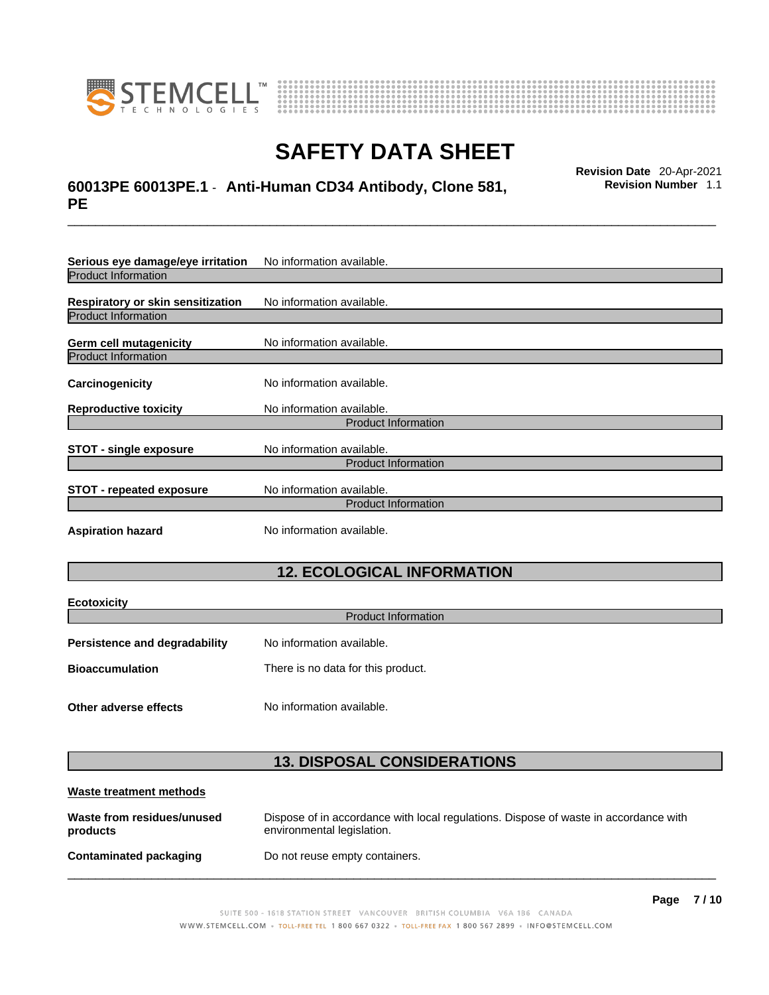



## \_\_\_\_\_\_\_\_\_\_\_\_\_\_\_\_\_\_\_\_\_\_\_\_\_\_\_\_\_\_\_\_\_\_\_\_\_\_\_\_\_\_\_\_\_\_\_\_\_\_\_\_\_\_\_\_\_\_\_\_\_\_\_\_\_\_\_\_\_\_\_\_\_\_\_\_\_\_\_\_\_\_\_\_\_\_\_\_\_\_\_\_\_ **Revision Date** 20-Apr-2021 **60013PE 60013PE.1** - **Anti-Human CD34 Antibody, Clone 581, PE**

**Revision Number** 1.1

| Serious eye damage/eye irritation | No information available.  |  |
|-----------------------------------|----------------------------|--|
| <b>Product Information</b>        |                            |  |
| Respiratory or skin sensitization | No information available.  |  |
| <b>Product Information</b>        |                            |  |
| Germ cell mutagenicity            | No information available.  |  |
| <b>Product Information</b>        |                            |  |
| Carcinogenicity                   | No information available.  |  |
| <b>Reproductive toxicity</b>      | No information available.  |  |
| <b>Product Information</b>        |                            |  |
| <b>STOT - single exposure</b>     | No information available.  |  |
|                                   | <b>Product Information</b> |  |
| <b>STOT - repeated exposure</b>   | No information available.  |  |
| <b>Product Information</b>        |                            |  |
| <b>Aspiration hazard</b>          | No information available.  |  |

### **12. ECOLOGICAL INFORMATION**

| <b>Ecotoxicity</b>                   |                                    |  |
|--------------------------------------|------------------------------------|--|
| <b>Product Information</b>           |                                    |  |
| <b>Persistence and degradability</b> | No information available.          |  |
| <b>Bioaccumulation</b>               | There is no data for this product. |  |
| Other adverse effects                | No information available.          |  |

### **13. DISPOSAL CONSIDERATIONS**

| Waste treatment methods                |                                                                                                                    |
|----------------------------------------|--------------------------------------------------------------------------------------------------------------------|
| Waste from residues/unused<br>products | Dispose of in accordance with local regulations. Dispose of waste in accordance with<br>environmental legislation. |
| Contaminated packaging                 | Do not reuse empty containers.                                                                                     |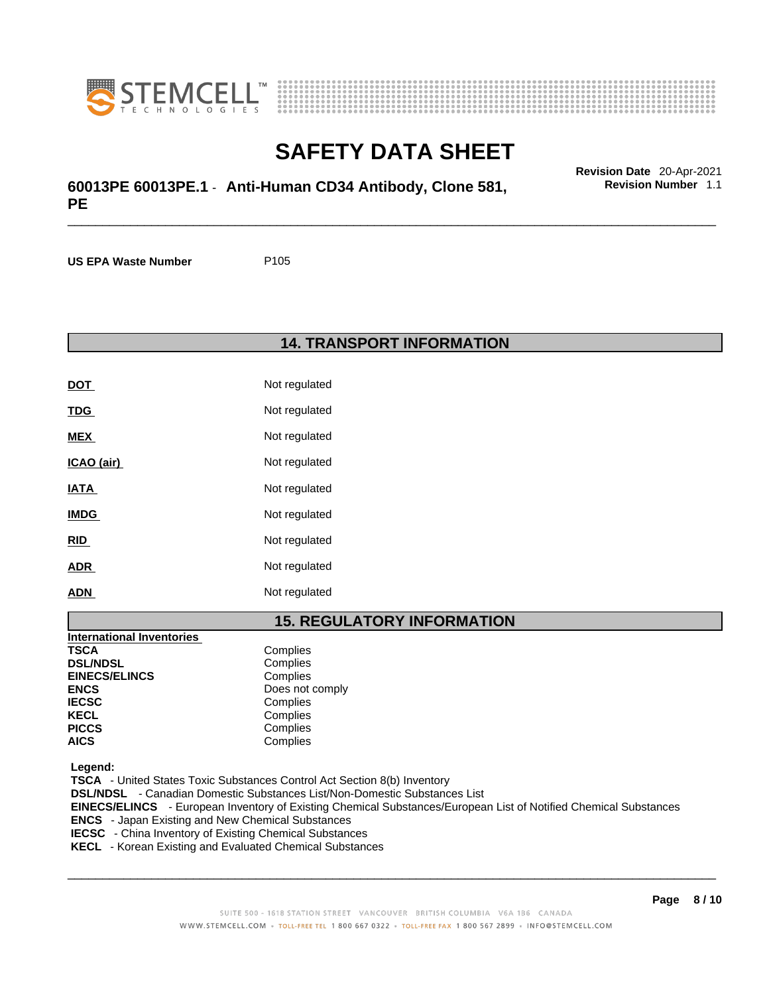



\_\_\_\_\_\_\_\_\_\_\_\_\_\_\_\_\_\_\_\_\_\_\_\_\_\_\_\_\_\_\_\_\_\_\_\_\_\_\_\_\_\_\_\_\_\_\_\_\_\_\_\_\_\_\_\_\_\_\_\_\_\_\_\_\_\_\_\_\_\_\_\_\_\_\_\_\_\_\_\_\_\_\_\_\_\_\_\_\_\_\_\_\_ **Revision Date** 20-Apr-2021 **60013PE 60013PE.1** - **Anti-Human CD34 Antibody, Clone 581, PE** 

**US EPA Waste Number** P105

**14. TRANSPORT INFORMATION** 

| <b>DOT</b>  | Not regulated |
|-------------|---------------|
| <u>TDG</u>  | Not regulated |
| <b>MEX</b>  | Not regulated |
| ICAO (air)  | Not regulated |
| IATA        | Not regulated |
| <b>IMDG</b> | Not regulated |
| <b>RID</b>  | Not regulated |
| <b>ADR</b>  | Not regulated |
| <b>ADN</b>  | Not regulated |

### **15. REGULATORY INFORMATION**

| <b>International Inventories</b> |                 |
|----------------------------------|-----------------|
| <b>TSCA</b>                      | Complies        |
| <b>DSL/NDSL</b>                  | Complies        |
| <b>EINECS/ELINCS</b>             | Complies        |
| <b>ENCS</b>                      | Does not comply |
| <b>IECSC</b>                     | Complies        |
| <b>KECL</b>                      | Complies        |
| <b>PICCS</b>                     | Complies        |
| <b>AICS</b>                      | Complies        |

 **Legend:** 

 **TSCA** - United States Toxic Substances Control Act Section 8(b) Inventory  **DSL/NDSL** - Canadian Domestic Substances List/Non-Domestic Substances List  **EINECS/ELINCS** - European Inventory of Existing Chemical Substances/European List of Notified Chemical Substances  **ENCS** - Japan Existing and New Chemical Substances

 **IECSC** - China Inventory of Existing Chemical Substances

 **KECL** - Korean Existing and Evaluated Chemical Substances

 $\_$  ,  $\_$  ,  $\_$  ,  $\_$  ,  $\_$  ,  $\_$  ,  $\_$  ,  $\_$  ,  $\_$  ,  $\_$  ,  $\_$  ,  $\_$  ,  $\_$  ,  $\_$  ,  $\_$  ,  $\_$  ,  $\_$  ,  $\_$  ,  $\_$  ,  $\_$  ,  $\_$  ,  $\_$  ,  $\_$  ,  $\_$  ,  $\_$  ,  $\_$  ,  $\_$  ,  $\_$  ,  $\_$  ,  $\_$  ,  $\_$  ,  $\_$  ,  $\_$  ,  $\_$  ,  $\_$  ,  $\_$  ,  $\_$  ,

**Page 8 / 10**

## **Revision Number** 1.1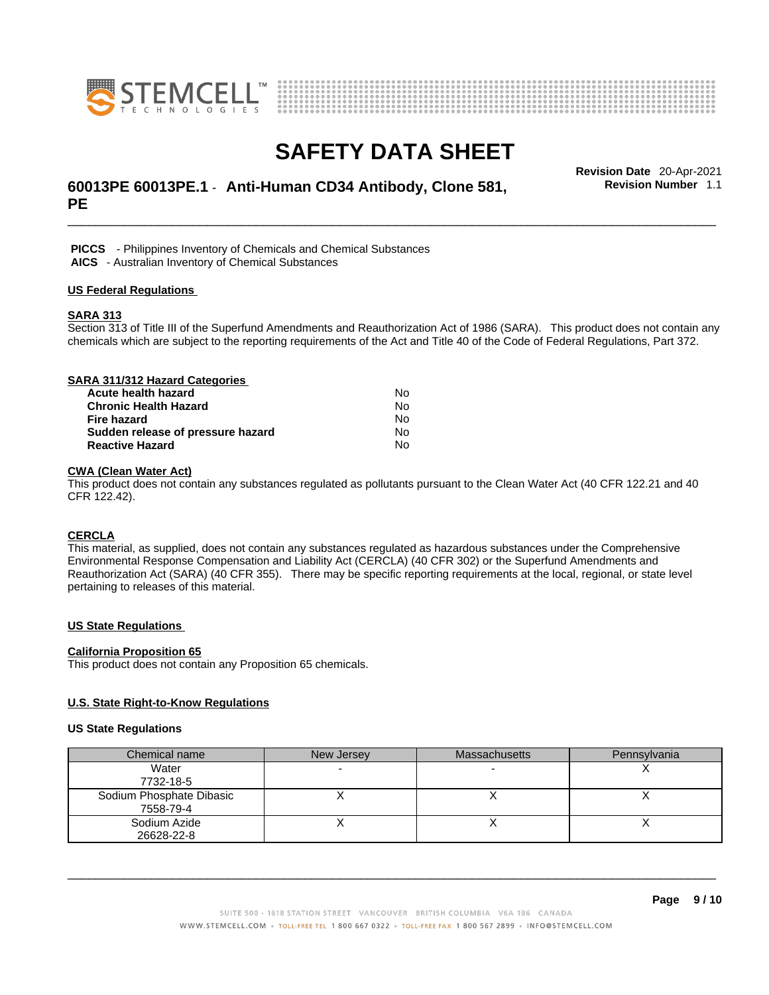



## \_\_\_\_\_\_\_\_\_\_\_\_\_\_\_\_\_\_\_\_\_\_\_\_\_\_\_\_\_\_\_\_\_\_\_\_\_\_\_\_\_\_\_\_\_\_\_\_\_\_\_\_\_\_\_\_\_\_\_\_\_\_\_\_\_\_\_\_\_\_\_\_\_\_\_\_\_\_\_\_\_\_\_\_\_\_\_\_\_\_\_\_\_ **Revision Date** 20-Apr-2021 **60013PE 60013PE.1** - **Anti-Human CD34 Antibody, Clone 581, PE**

**Revision Number** 1.1

 **PICCS** - Philippines Inventory of Chemicals and Chemical Substances  **AICS** - Australian Inventory of Chemical Substances

#### **US Federal Regulations**

#### **SARA 313**

Section 313 of Title III of the Superfund Amendments and Reauthorization Act of 1986 (SARA). This product does not contain any chemicals which are subject to the reporting requirements of the Act and Title 40 of the Code of Federal Regulations, Part 372.

| SARA 311/312 Hazard Categories    |    |  |
|-----------------------------------|----|--|
| Acute health hazard               | N٥ |  |
| <b>Chronic Health Hazard</b>      | No |  |
| <b>Fire hazard</b>                | No |  |
| Sudden release of pressure hazard | No |  |
| <b>Reactive Hazard</b>            | No |  |

### **CWA (Clean WaterAct)**

This product does not contain any substances regulated as pollutants pursuant to the Clean Water Act (40 CFR 122.21 and 40 CFR 122.42).

#### **CERCLA**

This material, as supplied, does not contain any substances regulated as hazardous substances under the Comprehensive Environmental Response Compensation and Liability Act (CERCLA) (40 CFR 302) or the Superfund Amendments and Reauthorization Act (SARA) (40 CFR 355). There may be specific reporting requirements at the local, regional, or state level pertaining to releases of this material.

#### **US State Regulations**

#### **California Proposition 65**

This product does not contain any Proposition 65 chemicals.

#### **U.S. State Right-to-Know Regulations**

#### **US State Regulations**

| Chemical name            | New Jersey | <b>Massachusetts</b> | Pennsylvania |
|--------------------------|------------|----------------------|--------------|
| Water                    |            |                      |              |
| 7732-18-5                |            |                      |              |
| Sodium Phosphate Dibasic |            |                      |              |
| 7558-79-4                |            |                      |              |
| Sodium Azide             |            |                      |              |
| 26628-22-8               |            |                      |              |